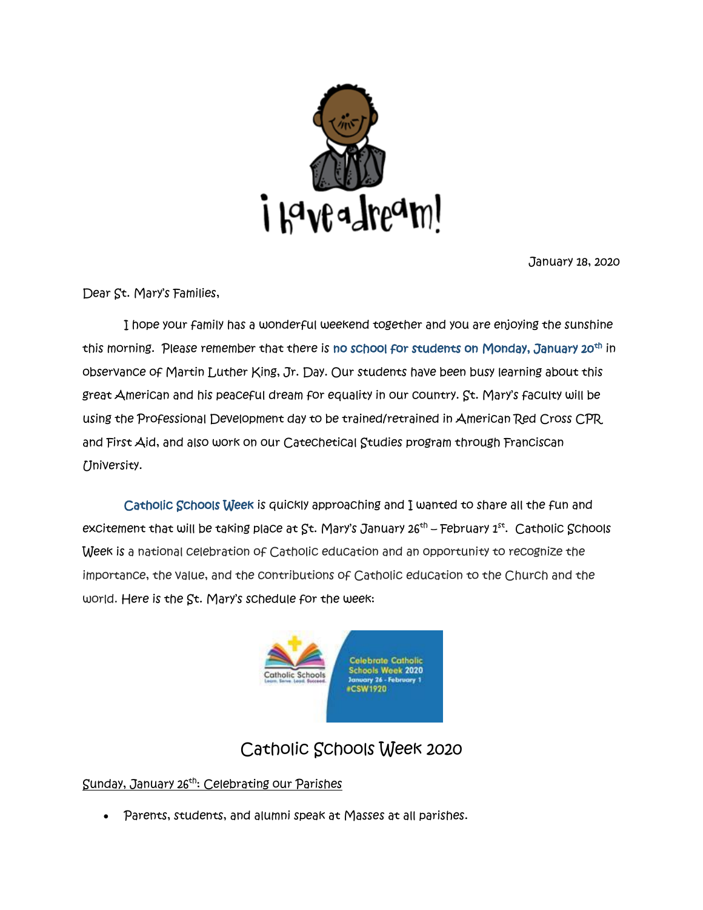

January 18, 2020

Dear St. Mary's Families,

 I hope your family has a wonderful weekend together and you are enjoying the sunshine this morning. Please remember that there is no school for students on Monday, January 20<sup>th</sup> in observance of Martin Luther King, Jr. Day. Our students have been busy learning about this great American and his peaceful dream for equality in our country. St. Mary's faculty will be using the Professional Development day to be trained/retrained in American Red Cross CPR and First Aid, and also work on our Catechetical Studies program through Franciscan University.

 Catholic Schools Week is quickly approaching and I wanted to share all the fun and excitement that will be taking place at St. Mary's January 26<sup>th</sup> – February 1st. Catholic Schools Week is a national celebration of Catholic education and an opportunity to recognize the importance, the value, and the contributions of Catholic education to the Church and the world. Here is the St. Mary's schedule for the week:



# Catholic Schools Week 2020

Sunday, January 26th: Celebrating our Parishes

Parents, students, and alumni speak at Masses at all parishes.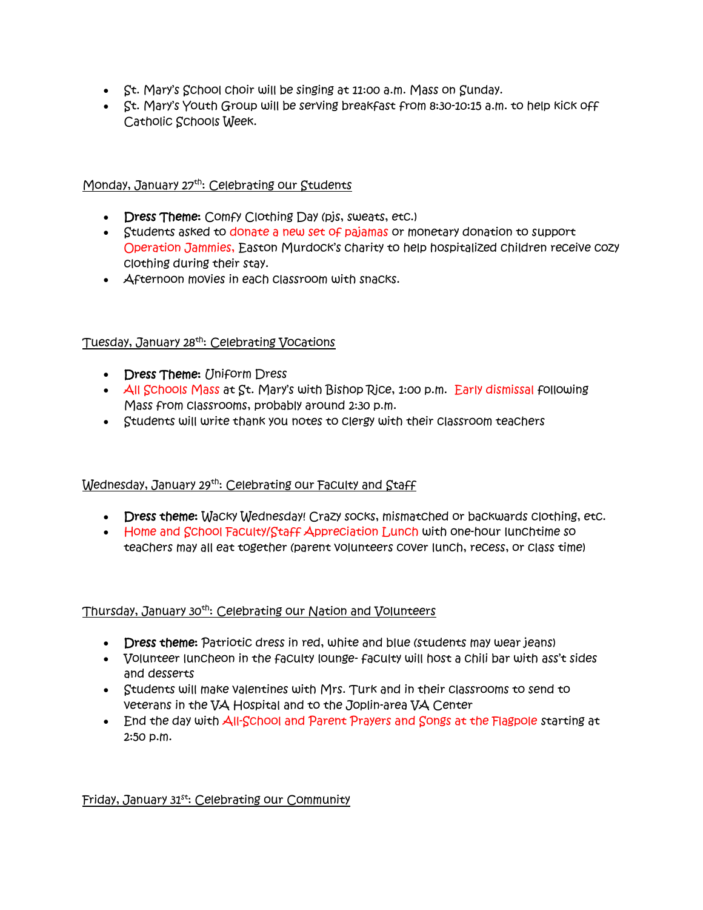- $\bullet$  St. Mary's School choir will be singing at 11:00 a.m. Mass on Sunday.
- St. Mary's Youth Group will be serving breakfast from 8:30-10:15 a.m. to help kick off Catholic Schools Week.

## Monday, January 27<sup>th</sup>: Celebrating our Students

- Dress Theme: Comfy Clothing Day (pis, sweats, etc.)
- Students asked to donate a new set of pajamas or monetary donation to support Operation Jammies, Easton Murdock's charity to help hospitalized children receive cozy clothing during their stay.
- **Afternoon movies in each classroom with snacks.**

## Tuesday, January 28th: Celebrating Vocations

- Dress Theme: (Jniform Dress
- $\overline{A}$ II Schools Mass at St. Mary's with Bishop Rice, 1:00 p.m. Early dismissal following Mass from classrooms, probably around 2:30 p.m.
- Students will write thank you notes to clergy with their classroom teachers

# Wednesday, January 29<sup>th</sup>: Celebrating our Faculty and Staff

- Dress theme: Wacky Wednesday! Crazy socks, mismatched or backwards clothing, etc.
- Home and School Faculty/Staff Appreciation Lunch with one-hour lunchtime so teachers may all eat together (parent volunteers cover lunch, recess, or class time)

#### Thursday, January 30th: Celebrating our Nation and Volunteers

- Dress theme: Patriotic dress in red, white and blue (students may wear jeans)
- Volunteer luncheon in the faculty lounge- faculty will host a chili bar with ass't sides and desserts
- Students will make valentines with Mrs. Turk and in their classrooms to send to veterans in the VA Hospital and to the Joplin-area VA Center
- End the day with All-School and Parent Prayers and Songs at the Flagpole starting at 2:50 p.m.

# Friday, January 31<sup>st</sup>: Celebrating our Community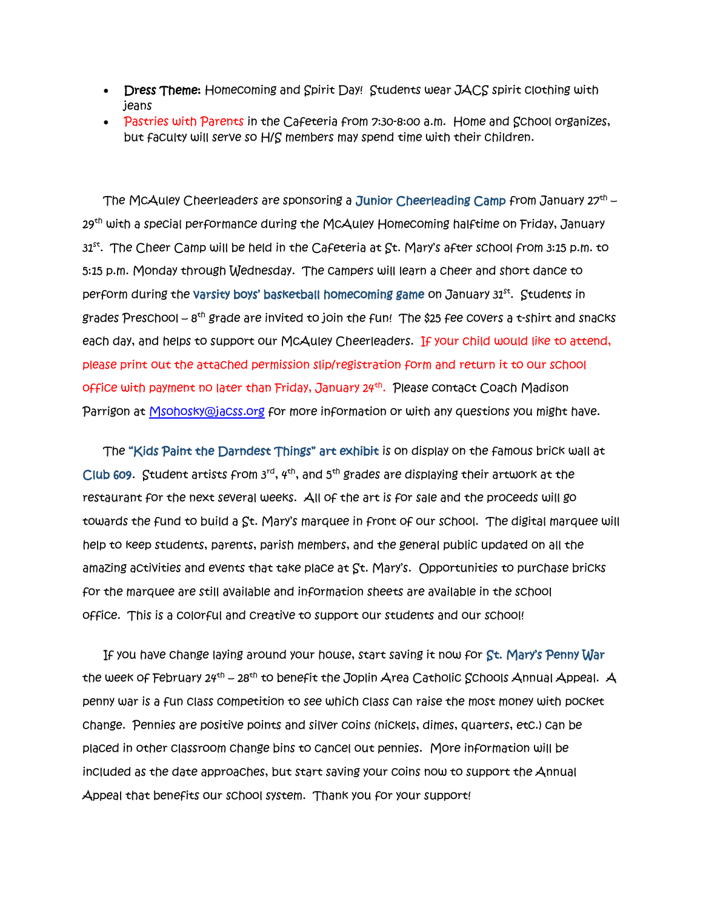- Dress Theme: Homecoming and Spirit Day! Students wear JACS spirit clothing with jeans
- Pastries with Parents in the Cafeteria from 7:30-8:00 a.m. Home and School organizes, but faculty will serve so H/S members may spend time with their children.

The McAuley Cheerleaders are sponsoring a Junior Cheerleading Camp from January 27th – 29<sup>th</sup> with a special performance during the McAuley Homecoming halftime on Friday, January  $31^\mathrm{st.}$  The Cheer Camp will be held in the Cafeteria at St. Mary's after school from 3:15 p.m. to 5:15 p.m. Monday through Wednesday. The campers will learn a cheer and short dance to perform during the varsity boys' basketball homecoming game on January 31st . Students in grades Preschool –  $8^\text{th}$  grade are invited to join the fun! The \$25 fee covers a t-shirt and snacks each day, and helps to support our McAuley Cheerleaders. If your child would like to attend, please print out the attached permission slip/registration form and return it to our school office with payment no later than Friday, January 24<sup>th</sup>. Please contact Coach Madison Parrigon at [Msohosky@jacss.org](mailto:Msohosky@jacss.org) for more information or with any questions you might have.

The "Kids Paint the Darndest Things" art exhibit is on display on the famous brick wall at Club 609. Student artists from  $3^{rd}$ ,  $4^{th}$ , and  $5^{th}$  grades are displaying their artwork at the restaurant for the next several weeks. All of the art is for sale and the proceeds will go towards the fund to build a St. Mary's marquee in front of our school. The digital marquee will help to keep students, parents, parish members, and the general public updated on all the amazing activities and events that take place at St. Mary's. Opportunities to purchase bricks for the marquee are still available and information sheets are available in the school office. This is a colorful and creative to support our students and our school!

If you have change laying around your house, start saving it now for St. Mary's Penny War the week of February 24<sup>th</sup> – 28<sup>th</sup> to benefit the Joplin Area Catholic Schools Annual Appeal. A penny war is a fun class competition to see which class can raise the most money with pocket change. Pennies are positive points and silver coins (nickels, dimes, quarters, etc.) can be placed in other classroom change bins to cancel out pennies. More information will be included as the date approaches, but start saving your coins now to support the Annual Appeal that benefits our school system. Thank you for your support!